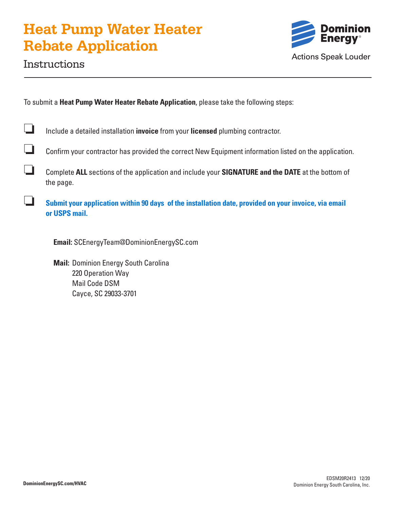# **Heat Pump Water Heater Rebate Application**



## Instructions

To submit a **Heat Pump Water Heater Rebate Application**, please take the following steps:

❏ Include a detailed installation **invoice** from your **licensed** plumbing contractor.

❏ Confirm your contractor has provided the correct New Equipment information listed on the application.

❏ Complete **ALL** sections of the application and include your **SIGNATURE and the DATE** at the bottom of the page.

❏ **Submit your application within 90 days of the installation date, provided on your invoice, via email or USPS mail.**

**Email:** SCEnergyTeam@DominionEnergySC.com

**Mail:** Dominion Energy South Carolina 220 Operation Way Mail Code DSM Cayce, SC 29033-3701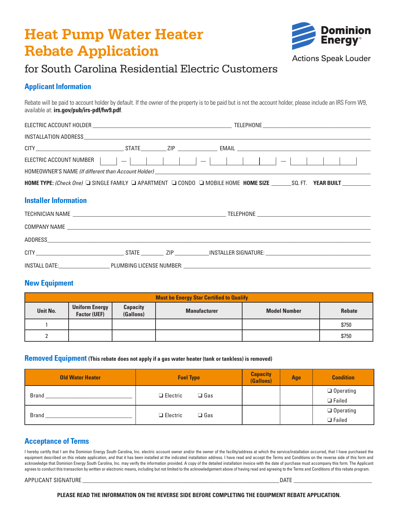# **Heat Pump Water Heater Rebate Application**



# for South Carolina Residential Electric Customers

### **Applicant Information**

Rebate will be paid to account holder by default. If the owner of the property is to be paid but is not the account holder, please include an IRS Form W9, available at: **irs.gov/pub/irs-pdf/fw9.pdf**.

| HOME TYPE: (Check One) I SINGLE FAMILY I APARTMENT I CONDO I MOBILE HOME HOME SIZE _______SQ. FT. YEAR BUILT _________ |  |  |  |  |  |  |
|------------------------------------------------------------------------------------------------------------------------|--|--|--|--|--|--|
| <b>Installer Information</b>                                                                                           |  |  |  |  |  |  |
|                                                                                                                        |  |  |  |  |  |  |
|                                                                                                                        |  |  |  |  |  |  |
|                                                                                                                        |  |  |  |  |  |  |
|                                                                                                                        |  |  |  |  |  |  |

INSTALL DATE:\_\_\_\_\_\_\_\_\_\_\_\_\_\_\_\_\_\_ PLUMBING LICENSE NUMBER: \_\_\_\_\_\_\_\_\_\_\_\_\_\_\_\_\_\_\_\_\_\_\_\_\_\_\_\_\_\_\_\_\_\_\_\_\_\_\_\_\_\_\_\_\_\_\_\_\_\_\_\_\_\_\_\_\_\_\_\_\_\_\_\_\_\_

### **New Equipment**

| <b>Must be Energy Star Certified to Qualify</b> |                                              |                              |                     |                     |               |  |  |
|-------------------------------------------------|----------------------------------------------|------------------------------|---------------------|---------------------|---------------|--|--|
| Unit No.                                        | <b>Uniform Energy</b><br><b>Factor (UEF)</b> | <b>Capacity</b><br>(Gallons) | <b>Manufacturer</b> | <b>Model Number</b> | <b>Rebate</b> |  |  |
|                                                 |                                              |                              |                     |                     | \$750         |  |  |
|                                                 |                                              |                              |                     |                     | \$750         |  |  |

#### **Removed Equipment (This rebate does not apply if a gas water heater (tank or tankless) is removed)**

| <b>Old Water Heater</b> | <b>Fuel Type</b>              | <b>Capacity</b><br>(Gallons) | Age | <b>Condition</b>                  |
|-------------------------|-------------------------------|------------------------------|-----|-----------------------------------|
| <b>Brand</b>            | $\Box$ Gas<br>$\Box$ Electric |                              |     | $\Box$ Operating<br>$\Box$ Failed |
| Brand                   | $\Box$ Gas<br>$\Box$ Electric |                              |     | $\Box$ Operating<br>$\Box$ Failed |

### **Acceptance of Terms**

I hereby certify that I am the Dominion Energy South Carolina, Inc. electric account owner and/or the owner of the facility/address at which the service/installation occurred, that I have purchased the equipment described on this rebate application, and that it has been installed at the indicated installation address. I have read and accept the Terms and Conditions on the reverse side of this form and acknowledge that Dominion Energy South Carolina, Inc. may verify the information provided. A copy of the detailed installation invoice with the date of purchase must accompany this form. The Applicant agrees to conduct this transaction by written or electronic means, including but not limited to the acknowledgement above of having read and agreeing to the Terms and Conditions of this rebate program.

#### APPLICANT SIGNATURE \_\_\_\_\_\_\_\_\_\_\_\_\_\_\_\_\_\_\_\_\_\_\_\_\_\_\_\_\_\_\_\_\_\_\_\_\_\_\_\_\_\_\_\_\_\_\_\_\_\_\_\_\_\_\_\_\_\_\_\_\_\_\_\_\_\_\_\_DATE \_\_\_\_\_\_\_\_\_\_\_\_\_\_\_\_\_\_\_\_\_\_\_\_\_\_\_